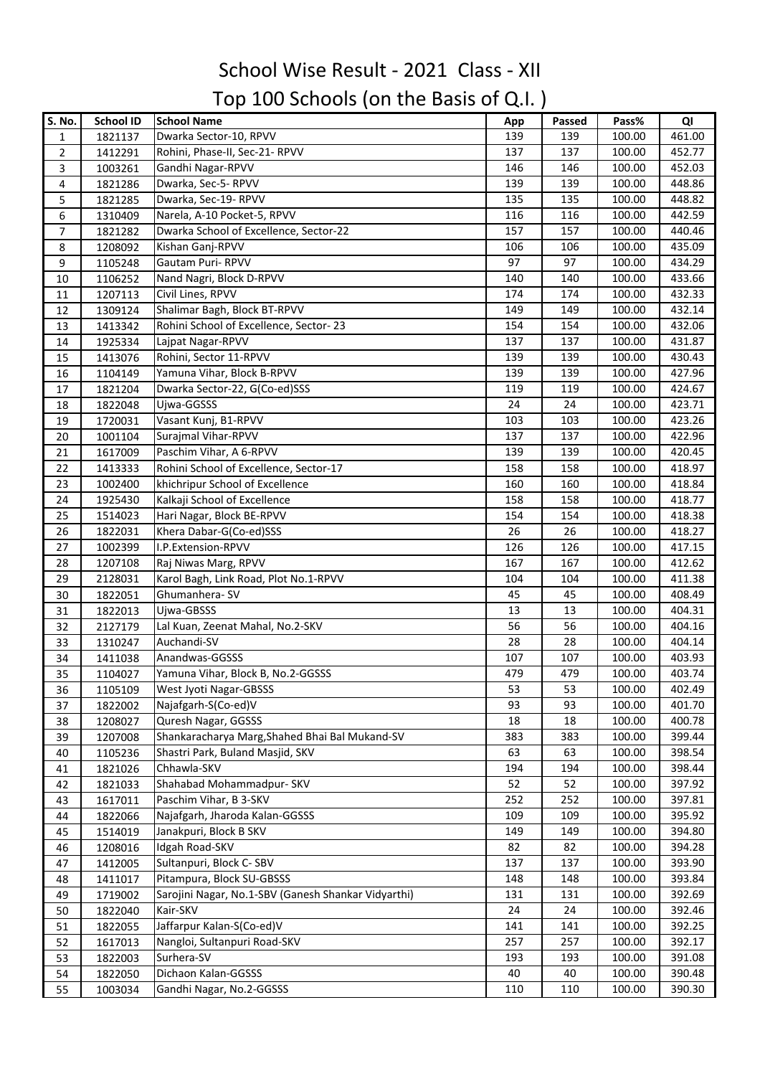## School Wise Result - 2021 Class - XII Top 100 Schools (on the Basis of Q.I. )

| S. No.         | <b>School ID</b>   | <b>School Name</b>                                  | App | Passed | Pass%  | QI     |
|----------------|--------------------|-----------------------------------------------------|-----|--------|--------|--------|
| 1              | 1821137            | Dwarka Sector-10, RPVV                              | 139 | 139    | 100.00 | 461.00 |
| $\overline{2}$ | 1412291            | Rohini, Phase-II, Sec-21- RPVV                      | 137 | 137    | 100.00 | 452.77 |
| 3              | 1003261            | Gandhi Nagar-RPVV                                   | 146 | 146    | 100.00 | 452.03 |
| 4              | 1821286            | Dwarka, Sec-5-RPVV                                  | 139 | 139    | 100.00 | 448.86 |
| 5              | 1821285            | Dwarka, Sec-19-RPVV                                 | 135 | 135    | 100.00 | 448.82 |
| 6              | 1310409            | Narela, A-10 Pocket-5, RPVV                         | 116 | 116    | 100.00 | 442.59 |
| $\overline{7}$ | 1821282            | Dwarka School of Excellence, Sector-22              | 157 | 157    | 100.00 | 440.46 |
| 8              | 1208092            | Kishan Ganj-RPVV                                    | 106 | 106    | 100.00 | 435.09 |
| 9              | 1105248            | Gautam Puri-RPVV                                    | 97  | 97     | 100.00 | 434.29 |
| 10             | 1106252            | Nand Nagri, Block D-RPVV                            | 140 | 140    | 100.00 | 433.66 |
| 11             | 1207113            | Civil Lines, RPVV                                   | 174 | 174    | 100.00 | 432.33 |
| 12             | 1309124            | Shalimar Bagh, Block BT-RPVV                        | 149 | 149    | 100.00 | 432.14 |
| 13             | 1413342            | Rohini School of Excellence, Sector-23              | 154 | 154    | 100.00 | 432.06 |
| 14             | 1925334            | Lajpat Nagar-RPVV                                   | 137 | 137    | 100.00 | 431.87 |
|                |                    | Rohini, Sector 11-RPVV                              | 139 | 139    | 100.00 | 430.43 |
| 15             | 1413076            | Yamuna Vihar, Block B-RPVV                          | 139 | 139    | 100.00 | 427.96 |
| 16             | 1104149            | Dwarka Sector-22, G(Co-ed)SSS                       | 119 | 119    | 100.00 | 424.67 |
| 17             | 1821204            | Ujwa-GGSSS                                          | 24  | 24     | 100.00 | 423.71 |
| 18             | 1822048<br>1720031 | Vasant Kunj, B1-RPVV                                | 103 | 103    | 100.00 | 423.26 |
| 19             |                    | Surajmal Vihar-RPVV                                 | 137 | 137    | 100.00 | 422.96 |
| 20<br>21       | 1001104<br>1617009 | Paschim Vihar, A 6-RPVV                             | 139 | 139    | 100.00 | 420.45 |
| 22             |                    | Rohini School of Excellence, Sector-17              | 158 | 158    | 100.00 | 418.97 |
| 23             | 1413333<br>1002400 | khichripur School of Excellence                     | 160 | 160    | 100.00 | 418.84 |
|                | 1925430            | Kalkaji School of Excellence                        | 158 | 158    | 100.00 | 418.77 |
| 24             | 1514023            | Hari Nagar, Block BE-RPVV                           | 154 | 154    | 100.00 | 418.38 |
| 25<br>26       |                    | Khera Dabar-G(Co-ed)SSS                             | 26  | 26     | 100.00 | 418.27 |
| 27             | 1822031<br>1002399 | I.P.Extension-RPVV                                  | 126 | 126    | 100.00 | 417.15 |
| 28             | 1207108            | Raj Niwas Marg, RPVV                                | 167 | 167    | 100.00 | 412.62 |
| 29             | 2128031            | Karol Bagh, Link Road, Plot No.1-RPVV               | 104 | 104    | 100.00 | 411.38 |
| 30             | 1822051            | Ghumanhera-SV                                       | 45  | 45     | 100.00 | 408.49 |
| 31             | 1822013            | Ujwa-GBSSS                                          | 13  | 13     | 100.00 | 404.31 |
| 32             | 2127179            | Lal Kuan, Zeenat Mahal, No.2-SKV                    | 56  | 56     | 100.00 | 404.16 |
| 33             | 1310247            | Auchandi-SV                                         | 28  | 28     | 100.00 | 404.14 |
| 34             | 1411038            | Anandwas-GGSSS                                      | 107 | 107    | 100.00 | 403.93 |
| 35             | 1104027            | Yamuna Vihar, Block B, No.2-GGSSS                   | 479 | 479    | 100.00 | 403.74 |
| 36             | 1105109            | West Jyoti Nagar-GBSSS                              | 53  | 53     | 100.00 | 402.49 |
| 37             | 1822002            | Najafgarh-S(Co-ed)V                                 | 93  | 93     | 100.00 | 401.70 |
| 38             | 1208027            | Quresh Nagar, GGSSS                                 | 18  | 18     | 100.00 | 400.78 |
| 39             | 1207008            | Shankaracharya Marg, Shahed Bhai Bal Mukand-SV      | 383 | 383    | 100.00 | 399.44 |
| 40             | 1105236            | Shastri Park, Buland Masjid, SKV                    | 63  | 63     | 100.00 | 398.54 |
| 41             | 1821026            | Chhawla-SKV                                         | 194 | 194    | 100.00 | 398.44 |
| 42             | 1821033            | Shahabad Mohammadpur- SKV                           | 52  | 52     | 100.00 | 397.92 |
| 43             | 1617011            | Paschim Vihar, B 3-SKV                              | 252 | 252    | 100.00 | 397.81 |
| 44             | 1822066            | Najafgarh, Jharoda Kalan-GGSSS                      | 109 | 109    | 100.00 | 395.92 |
| 45             | 1514019            | Janakpuri, Block B SKV                              | 149 | 149    | 100.00 | 394.80 |
| 46             | 1208016            | Idgah Road-SKV                                      | 82  | 82     | 100.00 | 394.28 |
| 47             | 1412005            | Sultanpuri, Block C-SBV                             | 137 | 137    | 100.00 | 393.90 |
| 48             | 1411017            | Pitampura, Block SU-GBSSS                           | 148 | 148    | 100.00 | 393.84 |
| 49             | 1719002            | Sarojini Nagar, No.1-SBV (Ganesh Shankar Vidyarthi) | 131 | 131    | 100.00 | 392.69 |
| 50             | 1822040            | Kair-SKV                                            | 24  | 24     | 100.00 | 392.46 |
| 51             | 1822055            | Jaffarpur Kalan-S(Co-ed)V                           | 141 | 141    | 100.00 | 392.25 |
| 52             | 1617013            | Nangloi, Sultanpuri Road-SKV                        | 257 | 257    | 100.00 | 392.17 |
| 53             | 1822003            | Surhera-SV                                          | 193 | 193    | 100.00 | 391.08 |
| 54             | 1822050            | Dichaon Kalan-GGSSS                                 | 40  | 40     | 100.00 | 390.48 |
| 55             | 1003034            | Gandhi Nagar, No.2-GGSSS                            | 110 | 110    | 100.00 | 390.30 |
|                |                    |                                                     |     |        |        |        |